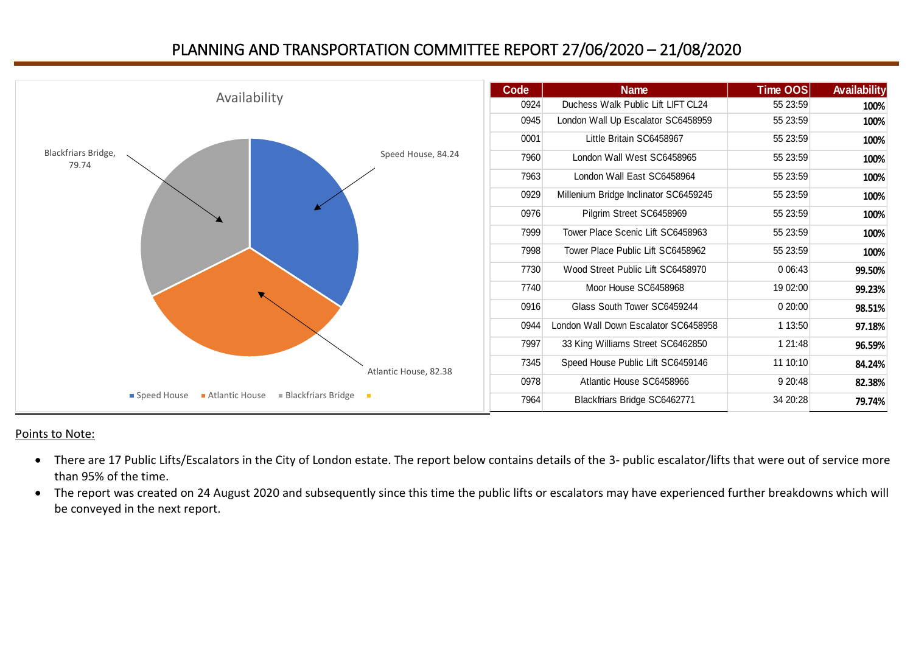## PLANNING AND TRANSPORTATION COMMITTEE REPORT 27/06/2020 – 21/08/2020



## Points to Note:

- There are 17 Public Lifts/Escalators in the City of London estate. The report below contains details of the 3- public escalator/lifts that were out of service more than 95% of the time.
- The report was created on 24 August 2020 and subsequently since this time the public lifts or escalators may have experienced further breakdowns which will be conveyed in the next report.